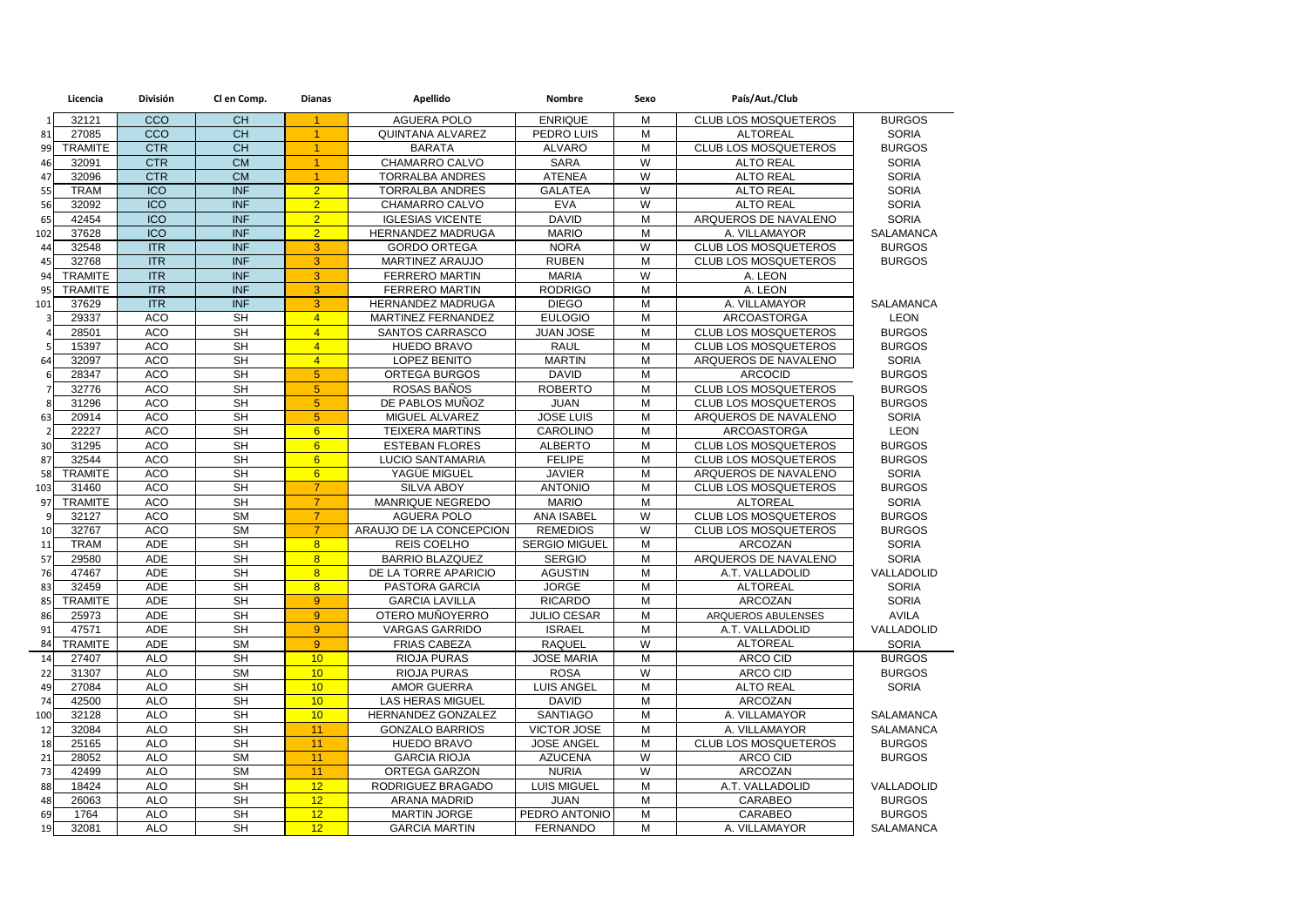|                         | Licencia       | <b>División</b> | Cl en Comp.              | <b>Dianas</b>        | Apellido                | <b>Nombre</b>        | Sexo           | País/Aut./Club              |                  |
|-------------------------|----------------|-----------------|--------------------------|----------------------|-------------------------|----------------------|----------------|-----------------------------|------------------|
| $\mathbf{1}$            | 32121          | CCO             | <b>CH</b>                | $\blacktriangleleft$ | <b>AGUERA POLO</b>      | <b>ENRIQUE</b>       | M              | <b>CLUB LOS MOSQUETEROS</b> | <b>BURGOS</b>    |
| 81                      | 27085          | CCO             | CH                       | 1                    | <b>QUINTANA ALVAREZ</b> | PEDRO LUIS           | $\overline{M}$ | <b>ALTOREAL</b>             | <b>SORIA</b>     |
| 99                      | <b>TRAMITE</b> | <b>CTR</b>      | <b>CH</b>                | $\blacktriangleleft$ | <b>BARATA</b>           | <b>ALVARO</b>        | M              | CLUB LOS MOSQUETEROS        | <b>BURGOS</b>    |
| 46                      | 32091          | <b>CTR</b>      | <b>CM</b>                | $\blacktriangleleft$ | CHAMARRO CALVO          | <b>SARA</b>          | W              | <b>ALTO REAL</b>            | <b>SORIA</b>     |
| 47                      | 32096          | <b>CTR</b>      | CM                       | $\overline{1}$       | <b>TORRALBA ANDRES</b>  | <b>ATENEA</b>        | $\overline{W}$ | <b>ALTO REAL</b>            | <b>SORIA</b>     |
| 55                      | <b>TRAM</b>    | <b>ICO</b>      | <b>INF</b>               | $\overline{2}$       | <b>TORRALBA ANDRES</b>  | <b>GALATEA</b>       | W              | <b>ALTO REAL</b>            | <b>SORIA</b>     |
| 56                      | 32092          | <b>ICO</b>      | <b>INF</b>               | $\overline{2}$       | CHAMARRO CALVO          | <b>EVA</b>           | $\overline{W}$ | <b>ALTO REAL</b>            | <b>SORIA</b>     |
| 65                      | 42454          | <b>ICO</b>      | <b>INF</b>               | $\overline{2}$       | <b>IGLESIAS VICENTE</b> | <b>DAVID</b>         | M              | ARQUEROS DE NAVALENO        | <b>SORIA</b>     |
| 102                     | 37628          | <b>ICO</b>      | <b>INF</b>               | $\overline{2}$       | HERNANDEZ MADRUGA       | <b>MARIO</b>         | M              | A. VILLAMAYOR               | <b>SALAMANCA</b> |
| 44                      | 32548          | <b>ITR</b>      | <b>INF</b>               | 3                    | <b>GORDO ORTEGA</b>     | <b>NORA</b>          | W              | <b>CLUB LOS MOSQUETEROS</b> | <b>BURGOS</b>    |
| 45                      | 32768          | <b>ITR</b>      | <b>INF</b>               | 3                    | MARTINEZ ARAUJO         | <b>RUBEN</b>         | M              | CLUB LOS MOSQUETEROS        | <b>BURGOS</b>    |
| 94                      | <b>TRAMITE</b> | <b>ITR</b>      | <b>INF</b>               | 3                    | <b>FERRERO MARTIN</b>   | <b>MARIA</b>         | W              | A. LEON                     |                  |
| 95                      | <b>TRAMITE</b> | <b>ITR</b>      | <b>INF</b>               | 3                    | <b>FERRERO MARTIN</b>   | <b>RODRIGO</b>       | M              | A. LEON                     |                  |
| 101                     | 37629          | ITR             | <b>INF</b>               | 3                    | HERNANDEZ MADRUGA       | <b>DIEGO</b>         | $\overline{M}$ | A. VILLAMAYOR               | SALAMANCA        |
| $\overline{\mathbf{3}}$ | 29337          | <b>ACO</b>      | <b>SH</b>                | $\overline{4}$       | MARTINEZ FERNANDEZ      | <b>EULOGIO</b>       | M              | ARCOASTORGA                 | <b>LEON</b>      |
|                         | 28501          | <b>ACO</b>      | <b>SH</b>                | $\overline{4}$       | SANTOS CARRASCO         | <b>JUAN JOSE</b>     | M              | <b>CLUB LOS MOSQUETEROS</b> | <b>BURGOS</b>    |
|                         | 15397          | <b>ACO</b>      | <b>SH</b>                | $\overline{4}$       | HUEDO BRAVO             | <b>RAUL</b>          | M              | <b>CLUB LOS MOSQUETEROS</b> | <b>BURGOS</b>    |
| 64                      | 32097          | <b>ACO</b>      | <b>SH</b>                | $\overline{4}$       | <b>LOPEZ BENITO</b>     | <b>MARTIN</b>        | M              | ARQUEROS DE NAVALENO        | <b>SORIA</b>     |
|                         | 28347          | <b>ACO</b>      | <b>SH</b>                | 5                    | <b>ORTEGA BURGOS</b>    | <b>DAVID</b>         | M              | <b>ARCOCID</b>              | <b>BURGOS</b>    |
|                         | 32776          | <b>ACO</b>      | <b>SH</b>                | $5\overline{5}$      | ROSAS BAÑOS             | <b>ROBERTO</b>       | M              | <b>CLUB LOS MOSQUETEROS</b> | <b>BURGOS</b>    |
|                         | 31296          | <b>ACO</b>      | <b>SH</b>                | $\overline{5}$       | DE PABLOS MUÑOZ         | <b>JUAN</b>          | M              | CLUB LOS MOSQUETEROS        | <b>BURGOS</b>    |
| 63                      | 20914          | <b>ACO</b>      | <b>SH</b>                | 5 <sup>5</sup>       | MIGUEL ALVAREZ          | <b>JOSE LUIS</b>     | M              | ARQUEROS DE NAVALENO        | <b>SORIA</b>     |
| $\overline{2}$          | 22227          | <b>ACO</b>      | $\overline{\mathsf{SH}}$ | 6                    | <b>TEIXERA MARTINS</b>  | CAROLINO             | M              | <b>ARCOASTORGA</b>          | <b>LEON</b>      |
| 30                      | 31295          | <b>ACO</b>      | <b>SH</b>                | 6                    | <b>ESTEBAN FLORES</b>   | <b>ALBERTO</b>       | M              | <b>CLUB LOS MOSQUETEROS</b> | <b>BURGOS</b>    |
| 87                      | 32544          | <b>ACO</b>      | <b>SH</b>                | 6                    | LUCIO SANTAMARIA        | <b>FELIPE</b>        | M              | <b>CLUB LOS MOSQUETEROS</b> | <b>BURGOS</b>    |
| 58                      | <b>TRAMITE</b> | <b>ACO</b>      | <b>SH</b>                | 6                    | YAGÜE MIGUEL            | <b>JAVIER</b>        | M              | ARQUEROS DE NAVALENO        | <b>SORIA</b>     |
| 103                     | 31460          | <b>ACO</b>      | <b>SH</b>                | $\overline{7}$       | <b>SILVA ABOY</b>       | <b>ANTONIO</b>       | M              | <b>CLUB LOS MOSQUETEROS</b> | <b>BURGOS</b>    |
| 97                      | <b>TRAMITE</b> | <b>ACO</b>      | <b>SH</b>                | $\overline{7}$       | MANRIQUE NEGREDO        | <b>MARIO</b>         | M              | <b>ALTOREAL</b>             | <b>SORIA</b>     |
| q                       | 32127          | <b>ACO</b>      | <b>SM</b>                | $\overline{7}$       | <b>AGUERA POLO</b>      | ANA ISABEL           | W              | <b>CLUB LOS MOSQUETEROS</b> | <b>BURGOS</b>    |
| 10                      | 32767          | <b>ACO</b>      | <b>SM</b>                | $\overline{7}$       | ARAUJO DE LA CONCEPCION | <b>REMEDIOS</b>      | W              | <b>CLUB LOS MOSQUETEROS</b> | <b>BURGOS</b>    |
| 11                      | <b>TRAM</b>    | <b>ADE</b>      | <b>SH</b>                | 8                    | REIS COELHO             | <b>SERGIO MIGUEL</b> | M              | <b>ARCOZAN</b>              | <b>SORIA</b>     |
| 57                      | 29580          | <b>ADE</b>      | $\overline{\mathsf{SH}}$ | $\overline{8}$       | <b>BARRIO BLAZQUEZ</b>  | <b>SERGIO</b>        | M              | ARQUEROS DE NAVALENO        | <b>SORIA</b>     |
| 76                      | 47467          | <b>ADE</b>      | <b>SH</b>                | $\overline{8}$       | DE LA TORRE APARICIO    | <b>AGUSTIN</b>       | M              | A.T. VALLADOLID             | VALLADOLID       |
| 83                      | 32459          | <b>ADE</b>      | <b>SH</b>                | 8                    | PASTORA GARCIA          | <b>JORGE</b>         | M              | <b>ALTOREAL</b>             | <b>SORIA</b>     |
| 85                      | <b>TRAMITE</b> | <b>ADE</b>      | <b>SH</b>                | 9                    | <b>GARCIA LAVILLA</b>   | <b>RICARDO</b>       | M              | <b>ARCOZAN</b>              | <b>SORIA</b>     |
| 86                      | 25973          | <b>ADE</b>      | <b>SH</b>                | $\overline{9}$       | OTERO MUÑOYERRO         | <b>JULIO CESAR</b>   | M              | ARQUEROS ABULENSES          | <b>AVILA</b>     |
| 91                      | 47571          | <b>ADE</b>      | <b>SH</b>                | 9                    | <b>VARGAS GARRIDO</b>   | <b>ISRAEL</b>        | M              | A.T. VALLADOLID             | VALLADOLID       |
| 84                      | <b>TRAMITE</b> | <b>ADE</b>      | <b>SM</b>                | $\overline{9}$       | <b>FRIAS CABEZA</b>     | <b>RAQUEL</b>        | $\overline{W}$ | <b>ALTOREAL</b>             | <b>SORIA</b>     |
| 14                      | 27407          | <b>ALO</b>      | <b>SH</b>                | 10                   | <b>RIOJA PURAS</b>      | <b>JOSE MARIA</b>    | M              | ARCO CID                    | <b>BURGOS</b>    |
| 22                      | 31307          | <b>ALO</b>      | $\overline{\text{SM}}$   | 10                   | <b>RIOJA PURAS</b>      | <b>ROSA</b>          | $\overline{W}$ | <b>ARCO CID</b>             | <b>BURGOS</b>    |
| 49                      | 27084          | <b>ALO</b>      | <b>SH</b>                | 10                   | <b>AMOR GUERRA</b>      | <b>LUIS ANGEL</b>    | M              | <b>ALTO REAL</b>            | <b>SORIA</b>     |
| 74                      | 42500          | <b>ALO</b>      | <b>SH</b>                | 10                   | LAS HERAS MIGUEL        | <b>DAVID</b>         | M              | <b>ARCOZAN</b>              |                  |
| 100                     | 32128          | <b>ALO</b>      | $\overline{\mathsf{SH}}$ | 10                   | HERNANDEZ GONZALEZ      | <b>SANTIAGO</b>      | M              | A. VILLAMAYOR               | SALAMANCA        |
| 12                      | 32084          | <b>ALO</b>      | <b>SH</b>                | 11                   | <b>GONZALO BARRIOS</b>  | <b>VICTOR JOSE</b>   | M              | A. VILLAMAYOR               | SALAMANCA        |
| 18                      | 25165          | <b>ALO</b>      | <b>SH</b>                | 11                   | <b>HUEDO BRAVO</b>      | <b>JOSE ANGEL</b>    | M              | CLUB LOS MOSQUETEROS        | <b>BURGOS</b>    |
| 21                      | 28052          | ALO             | $\overline{\text{SM}}$   | 11                   | <b>GARCIA RIOJA</b>     | <b>AZUCENA</b>       | W              | <b>ARCO CID</b>             | <b>BURGOS</b>    |
| 73                      | 42499          | <b>ALO</b>      | <b>SM</b>                | 11                   | <b>ORTEGA GARZON</b>    | <b>NURIA</b>         | W              | ARCOZAN                     |                  |
| 88                      | 18424          | <b>ALO</b>      | <b>SH</b>                | 12                   | RODRIGUEZ BRAGADO       | LUIS MIGUEL          | M              | A.T. VALLADOLID             | VALLADOLID       |
| 48                      | 26063          | ALO             | $\overline{\mathsf{SH}}$ | 12                   | ARANA MADRID            | <b>JUAN</b>          | M              | CARABEO                     | <b>BURGOS</b>    |
| 69                      | 1764           | <b>ALO</b>      | <b>SH</b>                | 12                   | <b>MARTIN JORGE</b>     | PEDRO ANTONIO        | M              | CARABEO                     | <b>BURGOS</b>    |
| 19                      | 32081          | <b>ALO</b>      | <b>SH</b>                | 12                   | <b>GARCIA MARTIN</b>    | <b>FERNANDO</b>      | M              | A. VILLAMAYOR               | <b>SALAMANCA</b> |